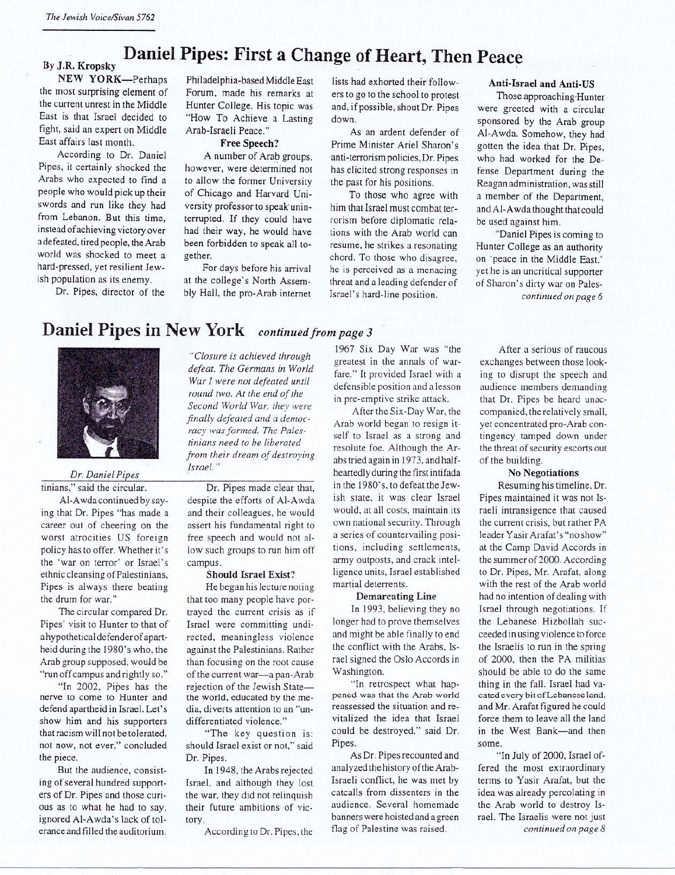# By J.R. Kropsky **Daniel Pipes: First a Change of Heart, Then Peace**

the most surprising element of Forum, made his remarks at ers to go to the school to protest<br>the current unrest in the Middle Hunter College. His topic was and if possible shout Dr. Pines the current unrest in the Middle Hunter College. His topic was and, if possible, shout Dr. Pipes East is that Israel decided to "How To Achieve a Lasting down East is that Israel decided to "How To Achieve a Lasting down.<br>Fight, said an expert on Middle Arab-Israeli Peace." fight, said an expert on Middle Arab-Israeli Peace." As an ardent defender of East affairs last month. Free Speech? Prime Minister Ariel Sharon's

According to Dr. Daniel A number of Arab groups, anti-terrorism policies, Dr. Pipes<br>Pipes, it certainly shocked the however, were determined not has elicited strong responses in Pipes, it certainly shocked the however, were determined not has elicited strong responses in Arabs who expected to find a to allow the former University the past for his positions Arabs who expected to find a to allow the former University the past for his positions.<br>
people who would pick up their of Chicago and Harvard Uni-<br>
To those who agree people who would pick up their of Chicago and Harvard Uni-<br>swords and run like they had versity professor to speak unin-<br>him that Israel must combat terswords and run like they had versity professor to speak unin-<br>from Lebanon. But this time, terrupted. If they could have rorism before diplomatic rela-<br>instead of achieving victory over had their way, he would have tions w instead of achieving victory over had their way, he would have tions with the Arab world can<br>adefeated, tired people, the Arab been forbidden to speak all to-<br>resume he strikes a reconsting a defeated, tired people, the Arab been forbidden to speak all to-<br>world was shocked to meet a gether.

**NEW YORK—Perhaps** Philadelphia-based Middle East lists had exhorted their follow-<br>the most surprising element of Forum, made his remarks at ers to go to the school to protest

bly Hall, the pro-Arab internet Israel's hard-line position.

East month. **Free Speech?** Prime Minister Ariel Sharon's According to Dr. Daniel **A** number of Arab groups, anti-terrorism policies. Dr. Pines

world was shocked to meet a gether. chord. To those who disagree, hard-pressed, yet resilient Jew - For days before his arrival he is perceived as a menacing ish population as its enemy. at the college's North Assem - thre opulation as its enemy. at the college's North Assem-<br>Dr. Pipes, director of the bly Hall, the pro-Arab internet [srael's hard-line position]

### **Anti- Israe l and Anti-US**

Those approaching Hunter were greeted with a circular sponsored by the Arab group AI-Awda. Somehow, they had gotten the idea that Dr. Pipes, who had worked for the Defense Department during the Reagan administration, was still a member of the Department, and AI-Awda thought that could be used against him.

"Daniel Pipes is coming to Hunter College as an authority on ·peace in the Middle East,' yet he is an uncritical supporter of Sharon 's dirty war on Pales*continued on page 6* 

## **Daniel Pipes in New York** *continued from page 3*



*Dr. Daniel Pipes*  tinians," said the circular.

AI-Awda continued by saying that Dr. Pipes "has made a career out of cheering on the worst atrocities US foreign policy has to offer. Whether it's the 'war on terror' or Israel's ethn ic cleansing of Palestinians, Pipes is always there beating the drum for war."

The circular compared Dr. Pipes' visit to Hunter to that of a hypothetical defenderof apartheid during the l 980's who, the Arab group supposed, would be "run off campus and rightly so."

"In 2002, Pipes has the nerve to come to Hunter and defend apartheid in Israel. Let's show him and his supporters that racism will not be tolerated, not now, not ever," concluded the piece.

But the audience, consisting of several hundred supporters of Dr. Pipes and those curious as to what he had to say, ignored Al-Awda's lack of tolerance and filled the auditorium.

*"Closure is achieved through defeat. The Germans in World War I were not defeated until round two. At the end of the Second World War, they were finally defeated and a democracy was formed. The Palestinians need to be liberated from their dream of destroying Israel."* 

Dr. Pipes made clear that, despite the efforts of AI-Awda and their colleagues, he would assert his fundamental right to free speech and would not allow such groups to run him off campus.

#### **Should Israel Exist?**

He began his lecture noting that too many people have portrayed the current crisis as if Israel were committing undirected, meaningless violence against the Palestinians. Rather than focusing on the root cause of the current war-a pan-Arab rejection of the Jewish Statethe world, educated by the media, diverts attention to an "undifferentiated violence."

"The key question is: should Israel exist or not," said Dr. Pipes.

In 1948, the Arabs rejected Israel, and although they lost the war, they did not relinquish their future ambitions of victory.

According to Dr. Pipes, the

1967 Six Day War was "the greatest in the annals of warfare." It provided Israel with a defensible position and a lesson in pre-emptive strike attack.

After the Six-Day War, the Arab world began to resign itself to Israel as a strong and resolute foe. Although the Arabs tried again in 1973, and halfheartedly during the first intifada in the 1980's, to defeat the Jewish state, it was clear Israel would, at all costs, maintain its own national security. Through a series of countervailing positions, including settlements, army outposts, and crack intelligence units, Israel established martial deterrents.

#### **Demarcating Line**

In 1993, believing they no longer had to prove themselves and might be able finally to end the conflict with the Arabs, Israel signed the Oslo Accords in Washington.

"In retrospect what happened was that the Arab world reassessed the situation and revitalized the idea that Israel could be destroyed," said Dr. Pipes.

As Dr. Pipes recounted and analyzed the history of the Arab-Israeli conflict, he was met by catcalls from dissenters in the audience. Several homemade banners were hoisted and a green flag of Palestine was raised.

After a serious of raucous exchanges between those looking to disrupt the speech and audience members demanding that Dr. Pipes be heard unaccompanied, the relatively small. yet concentrated pro-Arab contingency tamped down under the threat of security escorts out of the building.

#### **No Nego tiations**

Resuming his timeline, Dr. Pipes maintained it was not Israeli intransigence that caused the current crisis, but rather PA leader Yasir Arafat's "no show" at the Camp David Accords in the summer of 2000. According to Dr. Pipes, Mr. Arafat, along with the rest of the Arab world had no intention of dealing with Israel through negotiations. If the Lebanese Hizbollah succeeded in using violence to force the Israelis to run in the spring of 2000, then the PA militias should be able to do the same thing in the fall. Israel had vacated every bit of Lebanese land, and Mr. Arafat figured he could force them to leave all the land in the West Bank-and then some.

"In July of 2000, Israel offered the most extraordinary terms to Yasir Arafat, but the idea was already percolating in the Arab world to destroy Israel. The Israelis were not just *continued on page 8*